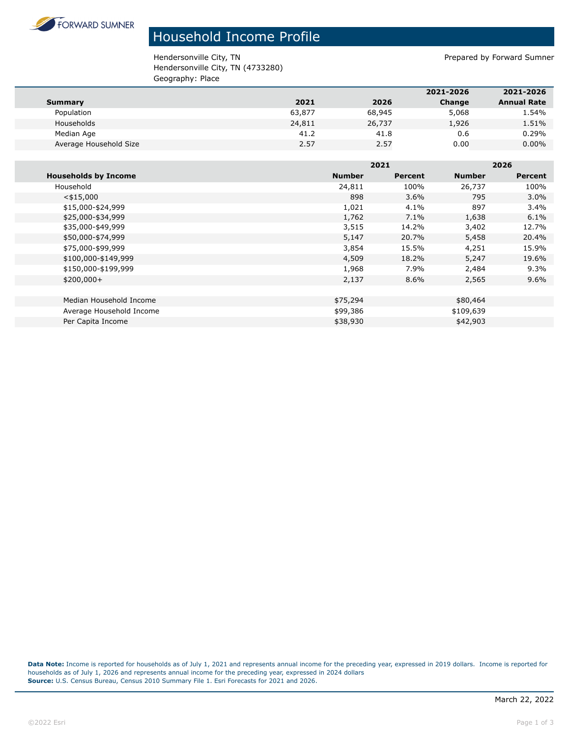

## Household Income Profile

Hendersonville City, TN endersonville City, TN Hendersonville City, TN (4733280) Geography: Place

| _ _ _                  |        |        |           |                    |
|------------------------|--------|--------|-----------|--------------------|
|                        |        |        | 2021-2026 | 2021-2026          |
| <b>Summary</b>         | 2021   | 2026   | Change    | <b>Annual Rate</b> |
| Population             | 63,877 | 68,945 | 5,068     | 1.54%              |
| Households             | 24,811 | 26,737 | 1,926     | 1.51%              |
| Median Age             | 41.2   | 41.8   | 0.6       | 0.29%              |
| Average Household Size | 2.57   | 2.57   | 0.00      | $0.00\%$           |
|                        |        |        |           |                    |

|                             |               | 2021    |               | 2026    |  |
|-----------------------------|---------------|---------|---------------|---------|--|
| <b>Households by Income</b> | <b>Number</b> | Percent | <b>Number</b> | Percent |  |
| Household                   | 24,811        | 100%    | 26,737        | 100%    |  |
| $<$ \$15,000                | 898           | 3.6%    | 795           | 3.0%    |  |
| \$15,000-\$24,999           | 1,021         | 4.1%    | 897           | 3.4%    |  |
| \$25,000-\$34,999           | 1,762         | $7.1\%$ | 1,638         | 6.1%    |  |
| \$35,000-\$49,999           | 3,515         | 14.2%   | 3,402         | 12.7%   |  |
| \$50,000-\$74,999           | 5,147         | 20.7%   | 5,458         | 20.4%   |  |
| \$75,000-\$99,999           | 3,854         | 15.5%   | 4,251         | 15.9%   |  |
| \$100,000-\$149,999         | 4,509         | 18.2%   | 5,247         | 19.6%   |  |
| \$150,000-\$199,999         | 1,968         | 7.9%    | 2,484         | 9.3%    |  |
| $$200,000+$                 | 2,137         | 8.6%    | 2,565         | $9.6\%$ |  |
|                             |               |         |               |         |  |
| Median Household Income     | \$75,294      |         | \$80,464      |         |  |
| Average Household Income    | \$99,386      |         | \$109,639     |         |  |
| Per Capita Income           | \$38,930      |         | \$42,903      |         |  |

**Data Note:** Income is reported for households as of July 1, 2021 and represents annual income for the preceding year, expressed in 2019 dollars. Income is reported for households as of July 1, 2026 and represents annual income for the preceding year, expressed in 2024 dollars **Source:** U.S. Census Bureau, Census 2010 Summary File 1. Esri Forecasts for 2021 and 2026.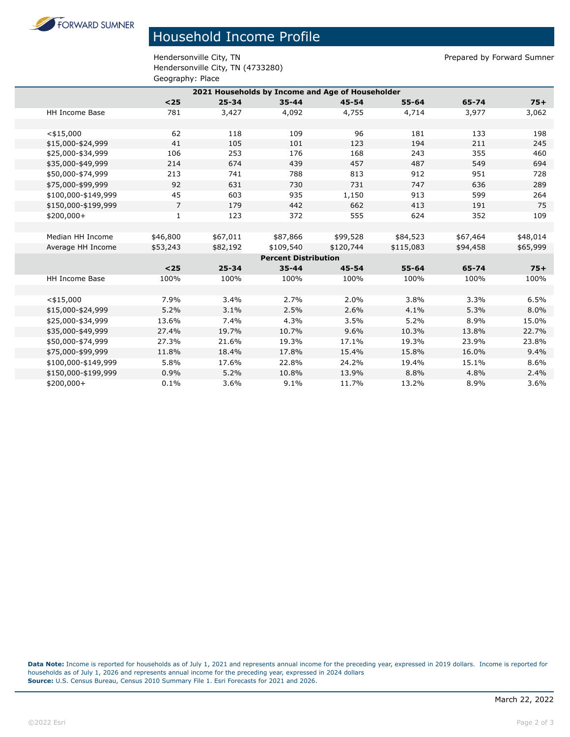**FORWARD SUMNER** 

## Household Income Profile

Hendersonville City, TN entitled by Forward Sumner Hendersonville City, TN (4733280) Geography: Place

| 2021 Households by Income and Age of Householder |                |           |           |           |           |          |          |
|--------------------------------------------------|----------------|-----------|-----------|-----------|-----------|----------|----------|
|                                                  | $25$           | $25 - 34$ | $35 - 44$ | $45 - 54$ | $55 - 64$ | 65-74    | $75+$    |
| HH Income Base                                   | 781            | 3,427     | 4,092     | 4,755     | 4,714     | 3,977    | 3,062    |
|                                                  |                |           |           |           |           |          |          |
| $<$ \$15,000                                     | 62             | 118       | 109       | 96        | 181       | 133      | 198      |
| \$15,000-\$24,999                                | 41             | 105       | 101       | 123       | 194       | 211      | 245      |
| \$25,000-\$34,999                                | 106            | 253       | 176       | 168       | 243       | 355      | 460      |
| \$35,000-\$49,999                                | 214            | 674       | 439       | 457       | 487       | 549      | 694      |
| \$50,000-\$74,999                                | 213            | 741       | 788       | 813       | 912       | 951      | 728      |
| \$75,000-\$99,999                                | 92             | 631       | 730       | 731       | 747       | 636      | 289      |
| \$100,000-\$149,999                              | 45             | 603       | 935       | 1,150     | 913       | 599      | 264      |
| \$150,000-\$199,999                              | $\overline{7}$ | 179       | 442       | 662       | 413       | 191      | 75       |
| \$200,000+                                       | $\mathbf{1}$   | 123       | 372       | 555       | 624       | 352      | 109      |
|                                                  |                |           |           |           |           |          |          |
| Median HH Income                                 | \$46,800       | \$67,011  | \$87,866  | \$99,528  | \$84,523  | \$67,464 | \$48,014 |
| Average HH Income                                | \$53,243       | \$82,192  | \$109,540 | \$120,744 | \$115,083 | \$94,458 | \$65,999 |
| <b>Percent Distribution</b>                      |                |           |           |           |           |          |          |
|                                                  | $25$           | $25 - 34$ | $35 - 44$ | $45 - 54$ | $55 - 64$ | 65-74    | $75+$    |
| <b>HH Income Base</b>                            | 100%           | 100%      | 100%      | 100%      | 100%      | 100%     | 100%     |
|                                                  |                |           |           |           |           |          |          |
| $<$ \$15,000                                     | 7.9%           | 3.4%      | 2.7%      | 2.0%      | 3.8%      | 3.3%     | 6.5%     |
| \$15,000-\$24,999                                | 5.2%           | 3.1%      | 2.5%      | 2.6%      | 4.1%      | 5.3%     | 8.0%     |
| \$25,000-\$34,999                                | 13.6%          | 7.4%      | 4.3%      | 3.5%      | 5.2%      | 8.9%     | 15.0%    |
| \$35,000-\$49,999                                | 27.4%          | 19.7%     | 10.7%     | 9.6%      | 10.3%     | 13.8%    | 22.7%    |
| \$50,000-\$74,999                                | 27.3%          | 21.6%     | 19.3%     | 17.1%     | 19.3%     | 23.9%    | 23.8%    |
| \$75,000-\$99,999                                | 11.8%          | 18.4%     | 17.8%     | 15.4%     | 15.8%     | 16.0%    | 9.4%     |
| \$100,000-\$149,999                              | 5.8%           | 17.6%     | 22.8%     | 24.2%     | 19.4%     | 15.1%    | 8.6%     |
| \$150,000-\$199,999                              | 0.9%           | 5.2%      | 10.8%     | 13.9%     | 8.8%      | 4.8%     | 2.4%     |
| \$200,000+                                       | 0.1%           | 3.6%      | 9.1%      | 11.7%     | 13.2%     | 8.9%     | 3.6%     |

**Data Note:** Income is reported for households as of July 1, 2021 and represents annual income for the preceding year, expressed in 2019 dollars. Income is reported for households as of July 1, 2026 and represents annual income for the preceding year, expressed in 2024 dollars **Source:** U.S. Census Bureau, Census 2010 Summary File 1. Esri Forecasts for 2021 and 2026.